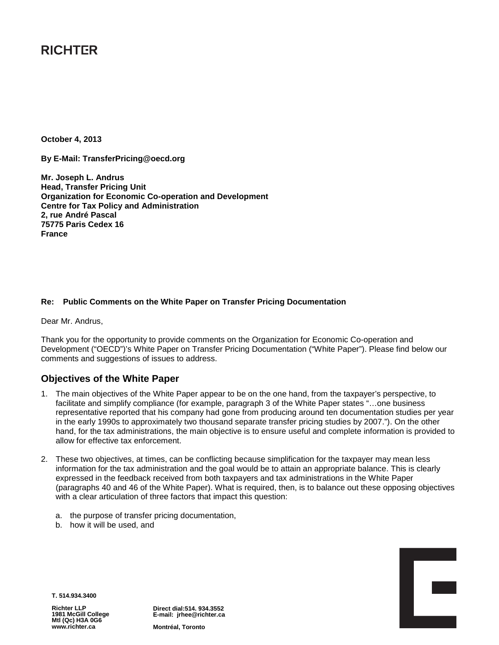# **RICHTER**

**October 4, 2013**

**By E-Mail: TransferPricing@oecd.org**

**Mr. Joseph L. Andrus Head, Transfer Pricing Unit Organization for Economic Co-operation and Development Centre for Tax Policy and Administration 2, rue André Pascal 75775 Paris Cedex 16 France**

#### **Re: Public Comments on the White Paper on Transfer Pricing Documentation**

Dear Mr. Andrus,

Thank you for the opportunity to provide comments on the Organization for Economic Co-operation and Development ("OECD")'s White Paper on Transfer Pricing Documentation ("White Paper"). Please find below our comments and suggestions of issues to address.

## **Objectives of the White Paper**

- 1. The main objectives of the White Paper appear to be on the one hand, from the taxpayer's perspective, to facilitate and simplify compliance (for example, paragraph 3 of the White Paper states "…one business representative reported that his company had gone from producing around ten documentation studies per year in the early 1990s to approximately two thousand separate transfer pricing studies by 2007."). On the other hand, for the tax administrations, the main objective is to ensure useful and complete information is provided to allow for effective tax enforcement.
- 2. These two objectives, at times, can be conflicting because simplification for the taxpayer may mean less information for the tax administration and the goal would be to attain an appropriate balance. This is clearly expressed in the feedback received from both taxpayers and tax administrations in the White Paper (paragraphs 40 and 46 of the White Paper). What is required, then, is to balance out these opposing objectives with a clear articulation of three factors that impact this question:
	- a. the purpose of transfer pricing documentation,
	- b. how it will be used, and



**T. 514.934.3400**

**Richter LLP 1981 McGill College Mtl (Qc) H3A 0G6 www.richter.ca**

**Direct dial:514. 934.3552 E-mail: jrhee@richter.ca**

**Montréal, Toronto**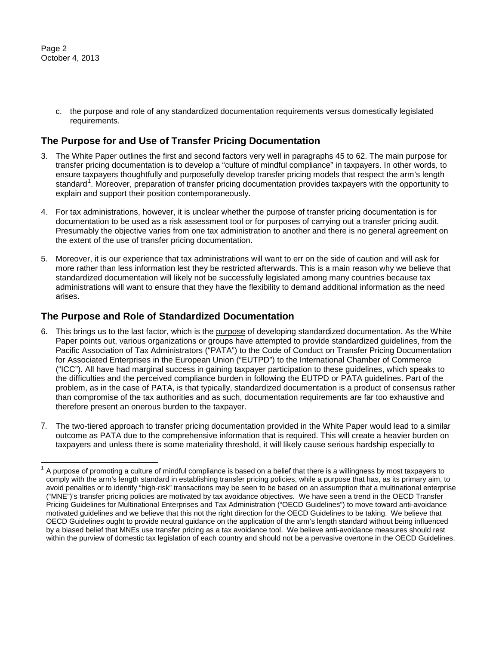c. the purpose and role of any standardized documentation requirements versus domestically legislated requirements.

# **The Purpose for and Use of Transfer Pricing Documentation**

- 3. The White Paper outlines the first and second factors very well in paragraphs 45 to 62. The main purpose for transfer pricing documentation is to develop a "culture of mindful compliance" in taxpayers. In other words, to ensure taxpayers thoughtfully and purposefully develop transfer pricing models that respect the arm's length standard<sup>[1](#page-1-0)</sup>. Moreover, preparation of transfer pricing documentation provides taxpayers with the opportunity to explain and support their position contemporaneously.
- 4. For tax administrations, however, it is unclear whether the purpose of transfer pricing documentation is for documentation to be used as a risk assessment tool or for purposes of carrying out a transfer pricing audit. Presumably the objective varies from one tax administration to another and there is no general agreement on the extent of the use of transfer pricing documentation.
- 5. Moreover, it is our experience that tax administrations will want to err on the side of caution and will ask for more rather than less information lest they be restricted afterwards. This is a main reason why we believe that standardized documentation will likely not be successfully legislated among many countries because tax administrations will want to ensure that they have the flexibility to demand additional information as the need arises.

#### **The Purpose and Role of Standardized Documentation**

- 6. This brings us to the last factor, which is the purpose of developing standardized documentation. As the White Paper points out, various organizations or groups have attempted to provide standardized guidelines, from the Pacific Association of Tax Administrators ("PATA") to the Code of Conduct on Transfer Pricing Documentation for Associated Enterprises in the European Union ("EUTPD") to the International Chamber of Commerce ("ICC"). All have had marginal success in gaining taxpayer participation to these guidelines, which speaks to the difficulties and the perceived compliance burden in following the EUTPD or PATA guidelines. Part of the problem, as in the case of PATA, is that typically, standardized documentation is a product of consensus rather than compromise of the tax authorities and as such, documentation requirements are far too exhaustive and therefore present an onerous burden to the taxpayer.
- 7. The two-tiered approach to transfer pricing documentation provided in the White Paper would lead to a similar outcome as PATA due to the comprehensive information that is required. This will create a heavier burden on taxpayers and unless there is some materiality threshold, it will likely cause serious hardship especially to

<span id="page-1-0"></span><sup>1</sup> A purpose of promoting a culture of mindful compliance is based on a belief that there is a willingness by most taxpayers to comply with the arm's length standard in establishing transfer pricing policies, while a purpose that has, as its primary aim, to avoid penalties or to identify "high-risk" transactions may be seen to be based on an assumption that a multinational enterprise ("MNE")'s transfer pricing policies are motivated by tax avoidance objectives. We have seen a trend in the OECD Transfer Pricing Guidelines for Multinational Enterprises and Tax Administration ("OECD Guidelines") to move toward anti-avoidance motivated guidelines and we believe that this not the right direction for the OECD Guidelines to be taking. We believe that OECD Guidelines ought to provide neutral guidance on the application of the arm's length standard without being influenced by a biased belief that MNEs use transfer pricing as a tax avoidance tool. We believe anti-avoidance measures should rest within the purview of domestic tax legislation of each country and should not be a pervasive overtone in the OECD Guidelines.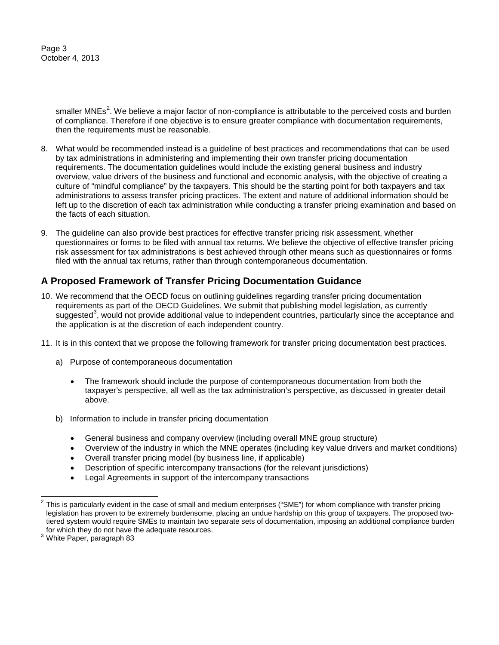Page 3 October 4, 2013

> smaller MNEs<sup>[2](#page-2-0)</sup>. We believe a major factor of non-compliance is attributable to the perceived costs and burden of compliance. Therefore if one objective is to ensure greater compliance with documentation requirements, then the requirements must be reasonable.

- 8. What would be recommended instead is a guideline of best practices and recommendations that can be used by tax administrations in administering and implementing their own transfer pricing documentation requirements. The documentation guidelines would include the existing general business and industry overview, value drivers of the business and functional and economic analysis, with the objective of creating a culture of "mindful compliance" by the taxpayers. This should be the starting point for both taxpayers and tax administrations to assess transfer pricing practices. The extent and nature of additional information should be left up to the discretion of each tax administration while conducting a transfer pricing examination and based on the facts of each situation.
- 9. The guideline can also provide best practices for effective transfer pricing risk assessment, whether questionnaires or forms to be filed with annual tax returns. We believe the objective of effective transfer pricing risk assessment for tax administrations is best achieved through other means such as questionnaires or forms filed with the annual tax returns, rather than through contemporaneous documentation.

# **A Proposed Framework of Transfer Pricing Documentation Guidance**

- 10. We recommend that the OECD focus on outlining guidelines regarding transfer pricing documentation requirements as part of the OECD Guidelines. We submit that publishing model legislation, as currently suggested<sup>[3](#page-2-1)</sup>, would not provide additional value to independent countries, particularly since the acceptance and the application is at the discretion of each independent country.
- 11. It is in this context that we propose the following framework for transfer pricing documentation best practices.
	- a) Purpose of contemporaneous documentation
		- The framework should include the purpose of contemporaneous documentation from both the taxpayer's perspective, all well as the tax administration's perspective, as discussed in greater detail above.
	- b) Information to include in transfer pricing documentation
		- General business and company overview (including overall MNE group structure)
		- Overview of the industry in which the MNE operates (including key value drivers and market conditions)
		- Overall transfer pricing model (by business line, if applicable)
		- Description of specific intercompany transactions (for the relevant jurisdictions)
		- Legal Agreements in support of the intercompany transactions

<span id="page-2-0"></span> $2$  This is particularly evident in the case of small and medium enterprises ("SME") for whom compliance with transfer pricing legislation has proven to be extremely burdensome, placing an undue hardship on this group of taxpayers. The proposed twotiered system would require SMEs to maintain two separate sets of documentation, imposing an additional compliance burden for which they do not have the adequate resources.  $3$  White Paper, paragraph 83

<span id="page-2-1"></span>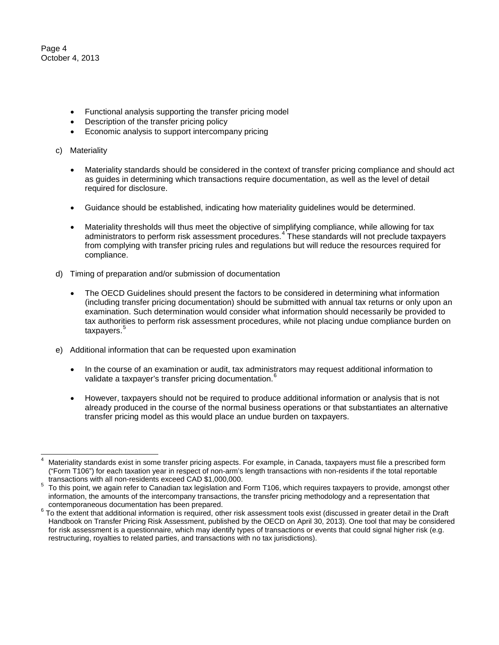Page 4 October 4, 2013

- Functional analysis supporting the transfer pricing model
- Description of the transfer pricing policy
- Economic analysis to support intercompany pricing
- c) Materiality
	- Materiality standards should be considered in the context of transfer pricing compliance and should act as guides in determining which transactions require documentation, as well as the level of detail required for disclosure.
	- Guidance should be established, indicating how materiality guidelines would be determined.
	- Materiality thresholds will thus meet the objective of simplifying compliance, while allowing for tax administrators to perform risk assessment procedures.<sup>[4](#page-3-0)</sup> These standards will not preclude taxpayers from complying with transfer pricing rules and regulations but will reduce the resources required for compliance.
- d) Timing of preparation and/or submission of documentation
	- The OECD Guidelines should present the factors to be considered in determining what information (including transfer pricing documentation) should be submitted with annual tax returns or only upon an examination. Such determination would consider what information should necessarily be provided to tax authorities to perform risk assessment procedures, while not placing undue compliance burden on taxpayers.<sup>[5](#page-3-1)</sup>
- e) Additional information that can be requested upon examination
	- In the course of an examination or audit, tax administrators may request additional information to validate a taxpayer's transfer pricing documentation. $^{\rm 6}$  $^{\rm 6}$  $^{\rm 6}$
	- However, taxpayers should not be required to produce additional information or analysis that is not already produced in the course of the normal business operations or that substantiates an alternative transfer pricing model as this would place an undue burden on taxpayers.

<span id="page-3-0"></span>Materiality standards exist in some transfer pricing aspects. For example, in Canada, taxpayers must file a prescribed form ("Form T106") for each taxation year in respect of non-arm's length transactions with non-residents if the total reportable transactions with all non-residents exceed CAD \$1,000,000.

<span id="page-3-1"></span> $5$  To this point, we again refer to Canadian tax legislation and Form T106, which requires taxpayers to provide, amongst other information, the amounts of the intercompany transactions, the transfer pricing methodology and a representation that<br>contemporaneous documentation has been prepared.

<span id="page-3-2"></span><sup>&</sup>lt;sup>6</sup> To the extent that additional information is required, other risk assessment tools exist (discussed in greater detail in the Draft Handbook on Transfer Pricing Risk Assessment, published by the OECD on April 30, 2013). One tool that may be considered for risk assessment is a questionnaire, which may identify types of transactions or events that could signal higher risk (e.g. restructuring, royalties to related parties, and transactions with no tax jurisdictions).